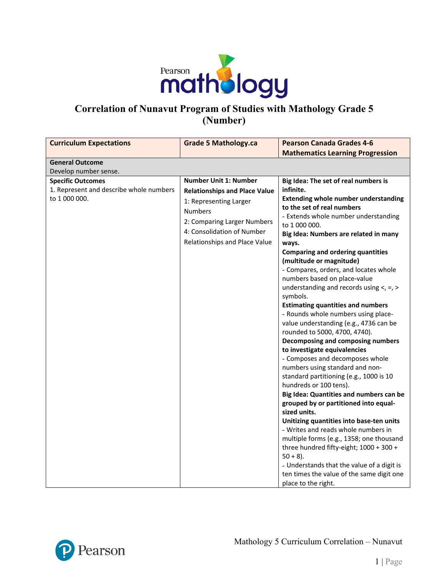

# **Correlation of Nunavut Program of Studies with Mathology Grade 5 (Number)**

| <b>Curriculum Expectations</b>                           | <b>Grade 5 Mathology.ca</b>          | <b>Pearson Canada Grades 4-6</b>                                                        |
|----------------------------------------------------------|--------------------------------------|-----------------------------------------------------------------------------------------|
|                                                          |                                      | <b>Mathematics Learning Progression</b>                                                 |
| <b>General Outcome</b>                                   |                                      |                                                                                         |
| Develop number sense.                                    |                                      |                                                                                         |
| <b>Specific Outcomes</b>                                 | <b>Number Unit 1: Number</b>         | Big Idea: The set of real numbers is                                                    |
| 1. Represent and describe whole numbers<br>to 1 000 000. | <b>Relationships and Place Value</b> | infinite.                                                                               |
|                                                          | 1: Representing Larger               | <b>Extending whole number understanding</b><br>to the set of real numbers               |
|                                                          | <b>Numbers</b>                       | - Extends whole number understanding                                                    |
|                                                          | 2: Comparing Larger Numbers          | to 1 000 000.                                                                           |
|                                                          | 4: Consolidation of Number           | Big Idea: Numbers are related in many                                                   |
|                                                          | Relationships and Place Value        | ways.                                                                                   |
|                                                          |                                      | <b>Comparing and ordering quantities</b>                                                |
|                                                          |                                      | (multitude or magnitude)                                                                |
|                                                          |                                      | - Compares, orders, and locates whole                                                   |
|                                                          |                                      | numbers based on place-value<br>understanding and records using $\lt$ , =, >            |
|                                                          |                                      | symbols.                                                                                |
|                                                          |                                      | <b>Estimating quantities and numbers</b>                                                |
|                                                          |                                      | - Rounds whole numbers using place-                                                     |
|                                                          |                                      | value understanding (e.g., 4736 can be                                                  |
|                                                          |                                      | rounded to 5000, 4700, 4740).                                                           |
|                                                          |                                      | Decomposing and composing numbers                                                       |
|                                                          |                                      | to investigate equivalencies                                                            |
|                                                          |                                      | - Composes and decomposes whole                                                         |
|                                                          |                                      | numbers using standard and non-                                                         |
|                                                          |                                      | standard partitioning (e.g., 1000 is 10<br>hundreds or 100 tens).                       |
|                                                          |                                      | Big Idea: Quantities and numbers can be                                                 |
|                                                          |                                      | grouped by or partitioned into equal-                                                   |
|                                                          |                                      | sized units.                                                                            |
|                                                          |                                      | Unitizing quantities into base-ten units                                                |
|                                                          |                                      | - Writes and reads whole numbers in                                                     |
|                                                          |                                      | multiple forms (e.g., 1358; one thousand                                                |
|                                                          |                                      | three hundred fifty-eight; 1000 + 300 +                                                 |
|                                                          |                                      | $50 + 8$ ).                                                                             |
|                                                          |                                      |                                                                                         |
|                                                          |                                      | - Understands that the value of a digit is<br>ten times the value of the same digit one |

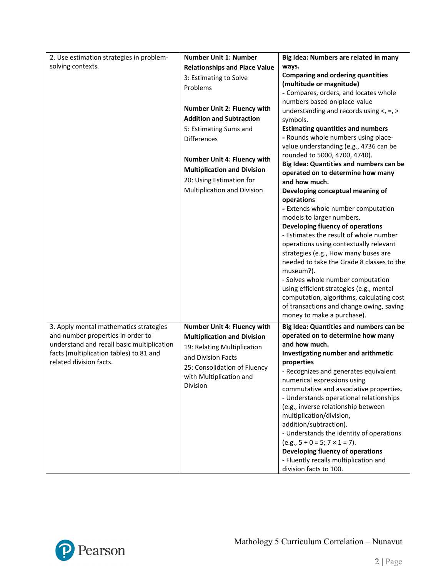| 2. Use estimation strategies in problem-   | <b>Number Unit 1: Number</b>         | Big Idea: Numbers are related in many                                           |
|--------------------------------------------|--------------------------------------|---------------------------------------------------------------------------------|
| solving contexts.                          | <b>Relationships and Place Value</b> | ways.                                                                           |
|                                            | 3: Estimating to Solve               | <b>Comparing and ordering quantities</b>                                        |
|                                            | Problems                             | (multitude or magnitude)                                                        |
|                                            |                                      | - Compares, orders, and locates whole                                           |
|                                            | <b>Number Unit 2: Fluency with</b>   | numbers based on place-value                                                    |
|                                            | <b>Addition and Subtraction</b>      | understanding and records using $\lt$ , =, >                                    |
|                                            |                                      | symbols.                                                                        |
|                                            | 5: Estimating Sums and               | <b>Estimating quantities and numbers</b><br>- Rounds whole numbers using place- |
|                                            | <b>Differences</b>                   | value understanding (e.g., 4736 can be                                          |
|                                            |                                      | rounded to 5000, 4700, 4740).                                                   |
|                                            | <b>Number Unit 4: Fluency with</b>   | Big Idea: Quantities and numbers can be                                         |
|                                            | <b>Multiplication and Division</b>   | operated on to determine how many                                               |
|                                            | 20: Using Estimation for             | and how much.                                                                   |
|                                            | Multiplication and Division          | Developing conceptual meaning of                                                |
|                                            |                                      | operations                                                                      |
|                                            |                                      | - Extends whole number computation                                              |
|                                            |                                      | models to larger numbers.                                                       |
|                                            |                                      | Developing fluency of operations                                                |
|                                            |                                      | - Estimates the result of whole number                                          |
|                                            |                                      | operations using contextually relevant<br>strategies (e.g., How many buses are  |
|                                            |                                      | needed to take the Grade 8 classes to the                                       |
|                                            |                                      | museum?).                                                                       |
|                                            |                                      | - Solves whole number computation                                               |
|                                            |                                      | using efficient strategies (e.g., mental                                        |
|                                            |                                      | computation, algorithms, calculating cost                                       |
|                                            |                                      | of transactions and change owing, saving                                        |
|                                            |                                      | money to make a purchase).                                                      |
| 3. Apply mental mathematics strategies     | Number Unit 4: Fluency with          | Big Idea: Quantities and numbers can be                                         |
| and number properties in order to          | <b>Multiplication and Division</b>   | operated on to determine how many                                               |
| understand and recall basic multiplication | 19: Relating Multiplication          | and how much.                                                                   |
| facts (multiplication tables) to 81 and    | and Division Facts                   | Investigating number and arithmetic                                             |
| related division facts.                    | 25: Consolidation of Fluency         | properties                                                                      |
|                                            | with Multiplication and              | - Recognizes and generates equivalent                                           |
|                                            | Division                             | numerical expressions using<br>commutative and associative properties.          |
|                                            |                                      | - Understands operational relationships                                         |
|                                            |                                      | (e.g., inverse relationship between                                             |
|                                            |                                      | multiplication/division,                                                        |
|                                            |                                      | addition/subtraction).                                                          |
|                                            |                                      | - Understands the identity of operations                                        |
|                                            |                                      | $(e.g., 5 + 0 = 5; 7 \times 1 = 7).$                                            |
|                                            |                                      | Developing fluency of operations                                                |
|                                            |                                      | - Fluently recalls multiplication and                                           |
|                                            |                                      | division facts to 100.                                                          |

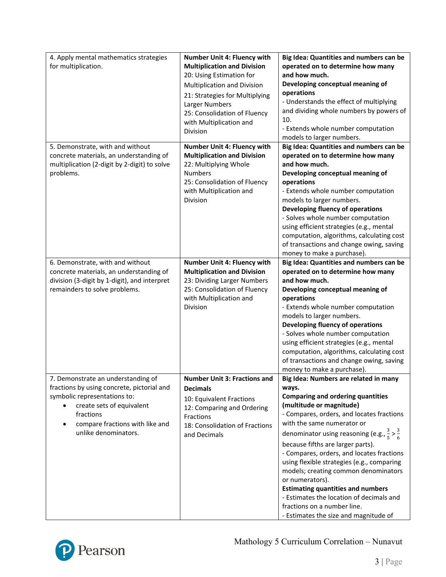| 4. Apply mental mathematics strategies<br>for multiplication.                                                                                                                                                         | <b>Number Unit 4: Fluency with</b><br><b>Multiplication and Division</b><br>20: Using Estimation for<br>Multiplication and Division<br>21: Strategies for Multiplying<br>Larger Numbers<br>25: Consolidation of Fluency<br>with Multiplication and<br>Division | Big Idea: Quantities and numbers can be<br>operated on to determine how many<br>and how much.<br>Developing conceptual meaning of<br>operations<br>- Understands the effect of multiplying<br>and dividing whole numbers by powers of<br>10.<br>- Extends whole number computation<br>models to larger numbers.                                                                                                                                                                                                                                                                                                                  |
|-----------------------------------------------------------------------------------------------------------------------------------------------------------------------------------------------------------------------|----------------------------------------------------------------------------------------------------------------------------------------------------------------------------------------------------------------------------------------------------------------|----------------------------------------------------------------------------------------------------------------------------------------------------------------------------------------------------------------------------------------------------------------------------------------------------------------------------------------------------------------------------------------------------------------------------------------------------------------------------------------------------------------------------------------------------------------------------------------------------------------------------------|
| 5. Demonstrate, with and without<br>concrete materials, an understanding of<br>multiplication (2-digit by 2-digit) to solve<br>problems.                                                                              | Number Unit 4: Fluency with<br><b>Multiplication and Division</b><br>22: Multiplying Whole<br><b>Numbers</b><br>25: Consolidation of Fluency<br>with Multiplication and<br>Division                                                                            | Big Idea: Quantities and numbers can be<br>operated on to determine how many<br>and how much.<br>Developing conceptual meaning of<br>operations<br>- Extends whole number computation<br>models to larger numbers.<br>Developing fluency of operations<br>- Solves whole number computation<br>using efficient strategies (e.g., mental<br>computation, algorithms, calculating cost<br>of transactions and change owing, saving<br>money to make a purchase).                                                                                                                                                                   |
| 6. Demonstrate, with and without<br>concrete materials, an understanding of<br>division (3-digit by 1-digit), and interpret<br>remainders to solve problems.                                                          | <b>Number Unit 4: Fluency with</b><br><b>Multiplication and Division</b><br>23: Dividing Larger Numbers<br>25: Consolidation of Fluency<br>with Multiplication and<br><b>Division</b>                                                                          | Big Idea: Quantities and numbers can be<br>operated on to determine how many<br>and how much.<br>Developing conceptual meaning of<br>operations<br>- Extends whole number computation<br>models to larger numbers.<br>Developing fluency of operations<br>- Solves whole number computation<br>using efficient strategies (e.g., mental<br>computation, algorithms, calculating cost<br>of transactions and change owing, saving<br>money to make a purchase).                                                                                                                                                                   |
| 7. Demonstrate an understanding of<br>fractions by using concrete, pictorial and<br>symbolic representations to:<br>create sets of equivalent<br>fractions<br>compare fractions with like and<br>unlike denominators. | <b>Number Unit 3: Fractions and</b><br><b>Decimals</b><br>10: Equivalent Fractions<br>12: Comparing and Ordering<br>Fractions<br>18: Consolidation of Fractions<br>and Decimals                                                                                | Big Idea: Numbers are related in many<br>ways.<br><b>Comparing and ordering quantities</b><br>(multitude or magnitude)<br>- Compares, orders, and locates fractions<br>with the same numerator or<br>denominator using reasoning (e.g., $\frac{3}{5}$ > $\frac{3}{6}$<br>because fifths are larger parts).<br>- Compares, orders, and locates fractions<br>using flexible strategies (e.g., comparing<br>models; creating common denominators<br>or numerators).<br><b>Estimating quantities and numbers</b><br>- Estimates the location of decimals and<br>fractions on a number line.<br>- Estimates the size and magnitude of |

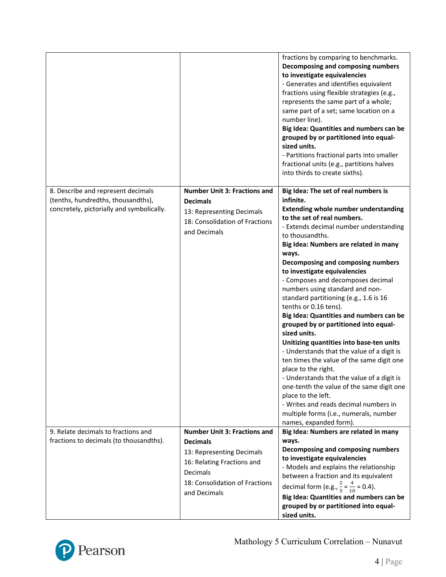|                                                                                                                       |                                                                                                                                                                                 | fractions by comparing to benchmarks.<br>Decomposing and composing numbers<br>to investigate equivalencies<br>- Generates and identifies equivalent<br>fractions using flexible strategies (e.g.,<br>represents the same part of a whole;<br>same part of a set; same location on a<br>number line).<br>Big Idea: Quantities and numbers can be<br>grouped by or partitioned into equal-<br>sized units.<br>- Partitions fractional parts into smaller<br>fractional units (e.g., partitions halves<br>into thirds to create sixths).                                                                                                                                                                                                                                                                                                                                                                                                                          |
|-----------------------------------------------------------------------------------------------------------------------|---------------------------------------------------------------------------------------------------------------------------------------------------------------------------------|----------------------------------------------------------------------------------------------------------------------------------------------------------------------------------------------------------------------------------------------------------------------------------------------------------------------------------------------------------------------------------------------------------------------------------------------------------------------------------------------------------------------------------------------------------------------------------------------------------------------------------------------------------------------------------------------------------------------------------------------------------------------------------------------------------------------------------------------------------------------------------------------------------------------------------------------------------------|
| 8. Describe and represent decimals<br>(tenths, hundredths, thousandths),<br>concretely, pictorially and symbolically. | <b>Number Unit 3: Fractions and</b><br><b>Decimals</b><br>13: Representing Decimals<br>18: Consolidation of Fractions<br>and Decimals                                           | Big Idea: The set of real numbers is<br>infinite.<br><b>Extending whole number understanding</b><br>to the set of real numbers.<br>- Extends decimal number understanding<br>to thousandths.<br>Big Idea: Numbers are related in many<br>ways.<br>Decomposing and composing numbers<br>to investigate equivalencies<br>- Composes and decomposes decimal<br>numbers using standard and non-<br>standard partitioning (e.g., 1.6 is 16<br>tenths or 0.16 tens).<br>Big Idea: Quantities and numbers can be<br>grouped by or partitioned into equal-<br>sized units.<br>Unitizing quantities into base-ten units<br>- Understands that the value of a digit is<br>ten times the value of the same digit one<br>place to the right.<br>- Understands that the value of a digit is<br>one-tenth the value of the same digit one<br>place to the left.<br>- Writes and reads decimal numbers in<br>multiple forms (i.e., numerals, number<br>names, expanded form). |
| 9. Relate decimals to fractions and<br>fractions to decimals (to thousandths).                                        | <b>Number Unit 3: Fractions and</b><br><b>Decimals</b><br>13: Representing Decimals<br>16: Relating Fractions and<br>Decimals<br>18: Consolidation of Fractions<br>and Decimals | Big Idea: Numbers are related in many<br>ways.<br>Decomposing and composing numbers<br>to investigate equivalencies<br>- Models and explains the relationship<br>between a fraction and its equivalent<br>decimal form (e.g., $\frac{2}{5} = \frac{4}{10} = 0.4$ ).<br>Big Idea: Quantities and numbers can be<br>grouped by or partitioned into equal-<br>sized units.                                                                                                                                                                                                                                                                                                                                                                                                                                                                                                                                                                                        |

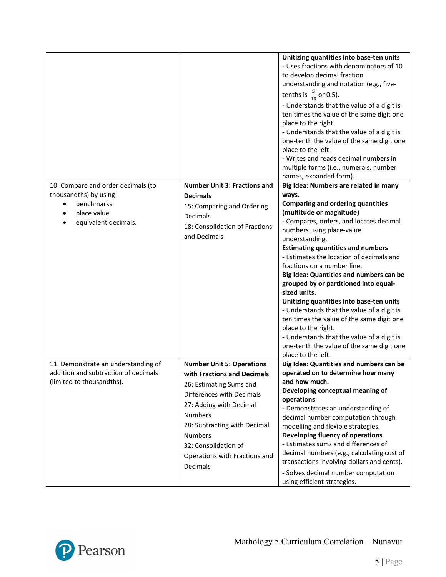|                                                                                                          |                                                                                                                                                                                                                                                                                             | Unitizing quantities into base-ten units<br>- Uses fractions with denominators of 10<br>to develop decimal fraction<br>understanding and notation (e.g., five-<br>tenths is $\frac{5}{10}$ or 0.5).<br>- Understands that the value of a digit is<br>ten times the value of the same digit one<br>place to the right.<br>- Understands that the value of a digit is<br>one-tenth the value of the same digit one<br>place to the left.<br>- Writes and reads decimal numbers in<br>multiple forms (i.e., numerals, number<br>names, expanded form).                                                                                                                               |
|----------------------------------------------------------------------------------------------------------|---------------------------------------------------------------------------------------------------------------------------------------------------------------------------------------------------------------------------------------------------------------------------------------------|-----------------------------------------------------------------------------------------------------------------------------------------------------------------------------------------------------------------------------------------------------------------------------------------------------------------------------------------------------------------------------------------------------------------------------------------------------------------------------------------------------------------------------------------------------------------------------------------------------------------------------------------------------------------------------------|
| 10. Compare and order decimals (to                                                                       | <b>Number Unit 3: Fractions and</b>                                                                                                                                                                                                                                                         | Big Idea: Numbers are related in many                                                                                                                                                                                                                                                                                                                                                                                                                                                                                                                                                                                                                                             |
| thousandths) by using:<br>benchmarks<br>place value<br>equivalent decimals.                              | <b>Decimals</b><br>15: Comparing and Ordering<br><b>Decimals</b><br>18: Consolidation of Fractions<br>and Decimals                                                                                                                                                                          | ways.<br><b>Comparing and ordering quantities</b><br>(multitude or magnitude)<br>- Compares, orders, and locates decimal<br>numbers using place-value<br>understanding.<br><b>Estimating quantities and numbers</b><br>- Estimates the location of decimals and<br>fractions on a number line.<br>Big Idea: Quantities and numbers can be<br>grouped by or partitioned into equal-<br>sized units.<br>Unitizing quantities into base-ten units<br>- Understands that the value of a digit is<br>ten times the value of the same digit one<br>place to the right.<br>- Understands that the value of a digit is<br>one-tenth the value of the same digit one<br>place to the left. |
| 11. Demonstrate an understanding of<br>addition and subtraction of decimals<br>(limited to thousandths). | <b>Number Unit 5: Operations</b><br>with Fractions and Decimals<br>26: Estimating Sums and<br>Differences with Decimals<br>27: Adding with Decimal<br><b>Numbers</b><br>28: Subtracting with Decimal<br><b>Numbers</b><br>32: Consolidation of<br>Operations with Fractions and<br>Decimals | Big Idea: Quantities and numbers can be<br>operated on to determine how many<br>and how much.<br>Developing conceptual meaning of<br>operations<br>- Demonstrates an understanding of<br>decimal number computation through<br>modelling and flexible strategies.<br>Developing fluency of operations<br>- Estimates sums and differences of<br>decimal numbers (e.g., calculating cost of<br>transactions involving dollars and cents).<br>- Solves decimal number computation<br>using efficient strategies.                                                                                                                                                                    |

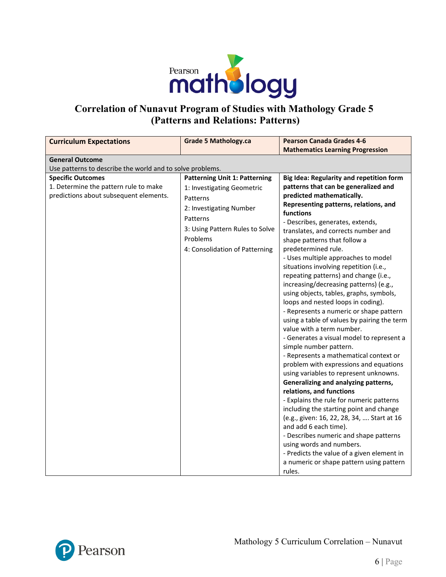

## **Correlation of Nunavut Program of Studies with Mathology Grade 5 (Patterns and Relations: Patterns)**

| <b>Curriculum Expectations</b>                                                                              | <b>Grade 5 Mathology.ca</b>                                                                                                                                                                            | <b>Pearson Canada Grades 4-6</b>                                                                                                                                                                                                                                                                                                                                                                                                                                                                                                                                                                                                                                                                                                                                                                                                                                                                                                                                                                                                                                                                                                                                                                                                                                                         |
|-------------------------------------------------------------------------------------------------------------|--------------------------------------------------------------------------------------------------------------------------------------------------------------------------------------------------------|------------------------------------------------------------------------------------------------------------------------------------------------------------------------------------------------------------------------------------------------------------------------------------------------------------------------------------------------------------------------------------------------------------------------------------------------------------------------------------------------------------------------------------------------------------------------------------------------------------------------------------------------------------------------------------------------------------------------------------------------------------------------------------------------------------------------------------------------------------------------------------------------------------------------------------------------------------------------------------------------------------------------------------------------------------------------------------------------------------------------------------------------------------------------------------------------------------------------------------------------------------------------------------------|
|                                                                                                             |                                                                                                                                                                                                        | <b>Mathematics Learning Progression</b>                                                                                                                                                                                                                                                                                                                                                                                                                                                                                                                                                                                                                                                                                                                                                                                                                                                                                                                                                                                                                                                                                                                                                                                                                                                  |
| <b>General Outcome</b>                                                                                      |                                                                                                                                                                                                        |                                                                                                                                                                                                                                                                                                                                                                                                                                                                                                                                                                                                                                                                                                                                                                                                                                                                                                                                                                                                                                                                                                                                                                                                                                                                                          |
| Use patterns to describe the world and to solve problems.                                                   |                                                                                                                                                                                                        |                                                                                                                                                                                                                                                                                                                                                                                                                                                                                                                                                                                                                                                                                                                                                                                                                                                                                                                                                                                                                                                                                                                                                                                                                                                                                          |
| <b>Specific Outcomes</b><br>1. Determine the pattern rule to make<br>predictions about subsequent elements. | <b>Patterning Unit 1: Patterning</b><br>1: Investigating Geometric<br>Patterns<br>2: Investigating Number<br>Patterns<br>3: Using Pattern Rules to Solve<br>Problems<br>4: Consolidation of Patterning | Big Idea: Regularity and repetition form<br>patterns that can be generalized and<br>predicted mathematically.<br>Representing patterns, relations, and<br>functions<br>- Describes, generates, extends,<br>translates, and corrects number and<br>shape patterns that follow a<br>predetermined rule.<br>- Uses multiple approaches to model<br>situations involving repetition (i.e.,<br>repeating patterns) and change (i.e.,<br>increasing/decreasing patterns) (e.g.,<br>using objects, tables, graphs, symbols,<br>loops and nested loops in coding).<br>- Represents a numeric or shape pattern<br>using a table of values by pairing the term<br>value with a term number.<br>- Generates a visual model to represent a<br>simple number pattern.<br>- Represents a mathematical context or<br>problem with expressions and equations<br>using variables to represent unknowns.<br>Generalizing and analyzing patterns,<br>relations, and functions<br>- Explains the rule for numeric patterns<br>including the starting point and change<br>(e.g., given: 16, 22, 28, 34,  Start at 16<br>and add 6 each time).<br>- Describes numeric and shape patterns<br>using words and numbers.<br>- Predicts the value of a given element in<br>a numeric or shape pattern using pattern |
|                                                                                                             |                                                                                                                                                                                                        | rules.                                                                                                                                                                                                                                                                                                                                                                                                                                                                                                                                                                                                                                                                                                                                                                                                                                                                                                                                                                                                                                                                                                                                                                                                                                                                                   |

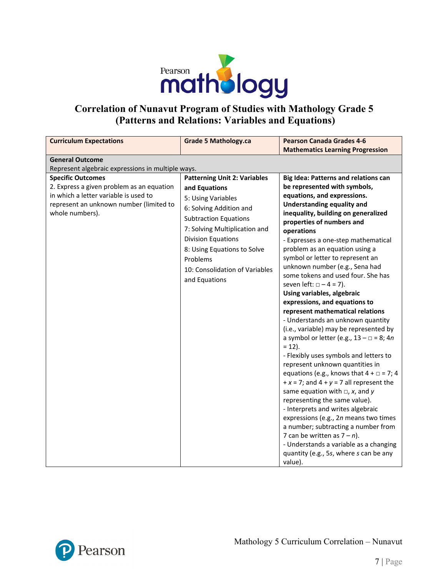

## **Correlation of Nunavut Program of Studies with Mathology Grade 5 (Patterns and Relations: Variables and Equations)**

| <b>Curriculum Expectations</b>                                                                                                                                                                                                                              | <b>Grade 5 Mathology.ca</b>                                                                                                                                                                                                                                                                | <b>Pearson Canada Grades 4-6</b>                                                                                                                                                                                                                                                                                                                                                                                                                                                                                                                                                                                                                                                                                                                                                                                                                                                                                                         |
|-------------------------------------------------------------------------------------------------------------------------------------------------------------------------------------------------------------------------------------------------------------|--------------------------------------------------------------------------------------------------------------------------------------------------------------------------------------------------------------------------------------------------------------------------------------------|------------------------------------------------------------------------------------------------------------------------------------------------------------------------------------------------------------------------------------------------------------------------------------------------------------------------------------------------------------------------------------------------------------------------------------------------------------------------------------------------------------------------------------------------------------------------------------------------------------------------------------------------------------------------------------------------------------------------------------------------------------------------------------------------------------------------------------------------------------------------------------------------------------------------------------------|
|                                                                                                                                                                                                                                                             |                                                                                                                                                                                                                                                                                            |                                                                                                                                                                                                                                                                                                                                                                                                                                                                                                                                                                                                                                                                                                                                                                                                                                                                                                                                          |
|                                                                                                                                                                                                                                                             |                                                                                                                                                                                                                                                                                            |                                                                                                                                                                                                                                                                                                                                                                                                                                                                                                                                                                                                                                                                                                                                                                                                                                                                                                                                          |
| <b>General Outcome</b><br>Represent algebraic expressions in multiple ways.<br><b>Specific Outcomes</b><br>2. Express a given problem as an equation<br>in which a letter variable is used to<br>represent an unknown number (limited to<br>whole numbers). | <b>Patterning Unit 2: Variables</b><br>and Equations<br>5: Using Variables<br>6: Solving Addition and<br><b>Subtraction Equations</b><br>7: Solving Multiplication and<br>Division Equations<br>8: Using Equations to Solve<br>Problems<br>10: Consolidation of Variables<br>and Equations | <b>Mathematics Learning Progression</b><br><b>Big Idea: Patterns and relations can</b><br>be represented with symbols,<br>equations, and expressions.<br><b>Understanding equality and</b><br>inequality, building on generalized<br>properties of numbers and<br>operations<br>- Expresses a one-step mathematical<br>problem as an equation using a<br>symbol or letter to represent an<br>unknown number (e.g., Sena had<br>some tokens and used four. She has<br>seven left: $\Box - 4 = 7$ ).<br>Using variables, algebraic<br>expressions, and equations to<br>represent mathematical relations<br>- Understands an unknown quantity<br>(i.e., variable) may be represented by<br>a symbol or letter (e.g., $13 - \square = 8$ ; 4n<br>$= 12$ ).<br>- Flexibly uses symbols and letters to<br>represent unknown quantities in<br>equations (e.g., knows that $4 + \square = 7$ ; 4<br>$+x = 7$ ; and $4 + y = 7$ all represent the |
|                                                                                                                                                                                                                                                             |                                                                                                                                                                                                                                                                                            | same equation with $\Box$ , x, and y<br>representing the same value).<br>- Interprets and writes algebraic                                                                                                                                                                                                                                                                                                                                                                                                                                                                                                                                                                                                                                                                                                                                                                                                                               |
|                                                                                                                                                                                                                                                             |                                                                                                                                                                                                                                                                                            | expressions (e.g., 2n means two times<br>a number; subtracting a number from<br>7 can be written as $7 - n$ ).<br>- Understands a variable as a changing<br>quantity (e.g., 5s, where s can be any<br>value).                                                                                                                                                                                                                                                                                                                                                                                                                                                                                                                                                                                                                                                                                                                            |

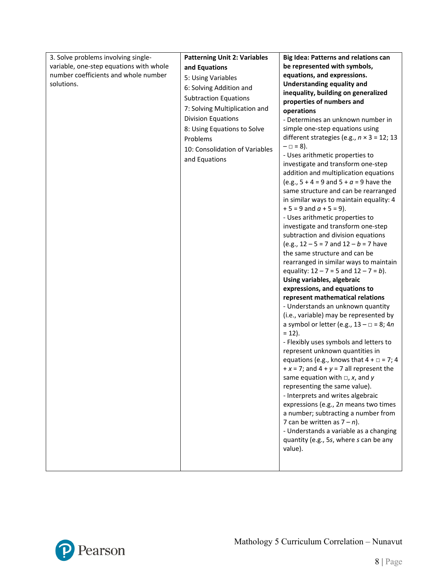| 3. Solve problems involving single-     | <b>Patterning Unit 2: Variables</b> | Big Idea: Patterns and relations can                           |
|-----------------------------------------|-------------------------------------|----------------------------------------------------------------|
| variable, one-step equations with whole | and Equations                       | be represented with symbols,                                   |
| number coefficients and whole number    | 5: Using Variables                  | equations, and expressions.                                    |
| solutions.                              | 6: Solving Addition and             | <b>Understanding equality and</b>                              |
|                                         |                                     | inequality, building on generalized                            |
|                                         | <b>Subtraction Equations</b>        | properties of numbers and                                      |
|                                         | 7: Solving Multiplication and       | operations                                                     |
|                                         | Division Equations                  | - Determines an unknown number in                              |
|                                         | 8: Using Equations to Solve         | simple one-step equations using                                |
|                                         | Problems                            | different strategies (e.g., $n \times 3 = 12$ ; 13             |
|                                         | 10: Consolidation of Variables      | $- \Box = 8$ ).                                                |
|                                         | and Equations                       | - Uses arithmetic properties to                                |
|                                         |                                     | investigate and transform one-step                             |
|                                         |                                     | addition and multiplication equations                          |
|                                         |                                     | (e.g., $5 + 4 = 9$ and $5 + a = 9$ have the                    |
|                                         |                                     | same structure and can be rearranged                           |
|                                         |                                     | in similar ways to maintain equality: 4                        |
|                                         |                                     | $+5 = 9$ and $a + 5 = 9$ ).                                    |
|                                         |                                     | - Uses arithmetic properties to                                |
|                                         |                                     | investigate and transform one-step                             |
|                                         |                                     | subtraction and division equations                             |
|                                         |                                     | (e.g., $12 - 5 = 7$ and $12 - b = 7$ have                      |
|                                         |                                     | the same structure and can be                                  |
|                                         |                                     | rearranged in similar ways to maintain                         |
|                                         |                                     | equality: $12 - 7 = 5$ and $12 - 7 = b$ ).                     |
|                                         |                                     | Using variables, algebraic                                     |
|                                         |                                     | expressions, and equations to                                  |
|                                         |                                     | represent mathematical relations                               |
|                                         |                                     | - Understands an unknown quantity                              |
|                                         |                                     | (i.e., variable) may be represented by                         |
|                                         |                                     | a symbol or letter (e.g., $13 - \square = 8$ ; 4n<br>$= 12$ ). |
|                                         |                                     | - Flexibly uses symbols and letters to                         |
|                                         |                                     | represent unknown quantities in                                |
|                                         |                                     | equations (e.g., knows that $4 + \square = 7$ ; 4              |
|                                         |                                     | $+x = 7$ ; and $4 + y = 7$ all represent the                   |
|                                         |                                     | same equation with $\Box$ , x, and y                           |
|                                         |                                     | representing the same value).                                  |
|                                         |                                     | - Interprets and writes algebraic                              |
|                                         |                                     | expressions (e.g., 2n means two times                          |
|                                         |                                     | a number; subtracting a number from                            |
|                                         |                                     | 7 can be written as $7 - n$ ).                                 |
|                                         |                                     | - Understands a variable as a changing                         |
|                                         |                                     | quantity (e.g., 5s, where s can be any                         |
|                                         |                                     | value).                                                        |
|                                         |                                     |                                                                |
|                                         |                                     |                                                                |

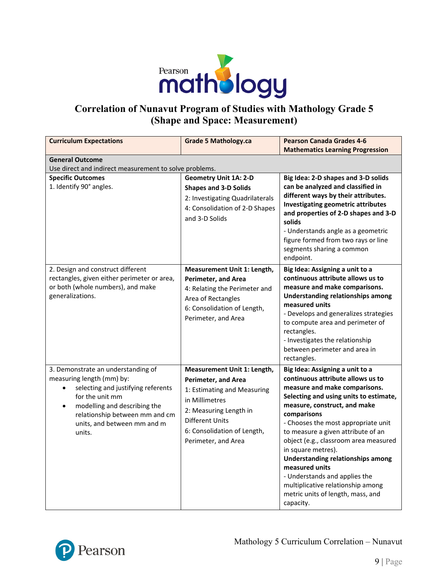

## **Correlation of Nunavut Program of Studies with Mathology Grade 5 (Shape and Space: Measurement)**

| <b>Curriculum Expectations</b>                                                                                                                                                                                                                   | <b>Grade 5 Mathology.ca</b>                                                                                                                                                                                          | <b>Pearson Canada Grades 4-6</b><br><b>Mathematics Learning Progression</b>                                                                                                                                                                                                                                                                                                                                                                                                                                                      |
|--------------------------------------------------------------------------------------------------------------------------------------------------------------------------------------------------------------------------------------------------|----------------------------------------------------------------------------------------------------------------------------------------------------------------------------------------------------------------------|----------------------------------------------------------------------------------------------------------------------------------------------------------------------------------------------------------------------------------------------------------------------------------------------------------------------------------------------------------------------------------------------------------------------------------------------------------------------------------------------------------------------------------|
| <b>General Outcome</b><br>Use direct and indirect measurement to solve problems.                                                                                                                                                                 |                                                                                                                                                                                                                      |                                                                                                                                                                                                                                                                                                                                                                                                                                                                                                                                  |
| <b>Specific Outcomes</b><br>1. Identify 90° angles.                                                                                                                                                                                              | <b>Geometry Unit 1A: 2-D</b><br><b>Shapes and 3-D Solids</b><br>2: Investigating Quadrilaterals<br>4: Consolidation of 2-D Shapes<br>and 3-D Solids                                                                  | Big Idea: 2-D shapes and 3-D solids<br>can be analyzed and classified in<br>different ways by their attributes.<br>Investigating geometric attributes<br>and properties of 2-D shapes and 3-D<br>solids<br>- Understands angle as a geometric<br>figure formed from two rays or line<br>segments sharing a common<br>endpoint.                                                                                                                                                                                                   |
| 2. Design and construct different<br>rectangles, given either perimeter or area,<br>or both (whole numbers), and make<br>generalizations.                                                                                                        | Measurement Unit 1: Length,<br><b>Perimeter, and Area</b><br>4: Relating the Perimeter and<br>Area of Rectangles<br>6: Consolidation of Length,<br>Perimeter, and Area                                               | Big Idea: Assigning a unit to a<br>continuous attribute allows us to<br>measure and make comparisons.<br><b>Understanding relationships among</b><br>measured units<br>- Develops and generalizes strategies<br>to compute area and perimeter of<br>rectangles.<br>- Investigates the relationship<br>between perimeter and area in<br>rectangles.                                                                                                                                                                               |
| 3. Demonstrate an understanding of<br>measuring length (mm) by:<br>selecting and justifying referents<br>for the unit mm<br>modelling and describing the<br>$\bullet$<br>relationship between mm and cm<br>units, and between mm and m<br>units. | Measurement Unit 1: Length,<br><b>Perimeter, and Area</b><br>1: Estimating and Measuring<br>in Millimetres<br>2: Measuring Length in<br><b>Different Units</b><br>6: Consolidation of Length,<br>Perimeter, and Area | Big Idea: Assigning a unit to a<br>continuous attribute allows us to<br>measure and make comparisons.<br>Selecting and using units to estimate,<br>measure, construct, and make<br>comparisons<br>- Chooses the most appropriate unit<br>to measure a given attribute of an<br>object (e.g., classroom area measured<br>in square metres).<br><b>Understanding relationships among</b><br>measured units<br>- Understands and applies the<br>multiplicative relationship among<br>metric units of length, mass, and<br>capacity. |

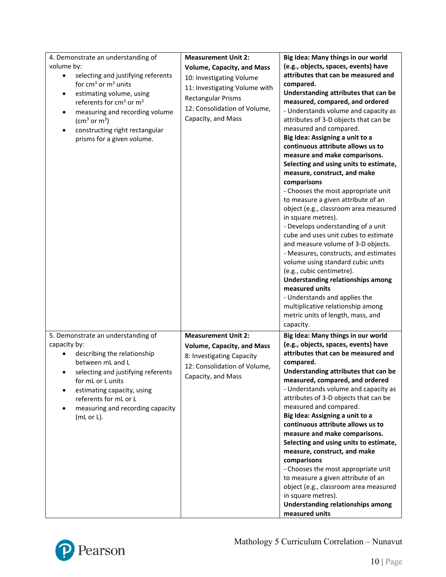| 4. Demonstrate an understanding of<br>volume by:<br>selecting and justifying referents<br>٠<br>for $cm3$ or $m3$ units<br>estimating volume, using<br>$\bullet$<br>referents for cm <sup>3</sup> or m <sup>3</sup><br>measuring and recording volume<br>$\bullet$<br>$\rm (cm^3~or~m^3)$<br>constructing right rectangular<br>prisms for a given volume. | <b>Measurement Unit 2:</b><br><b>Volume, Capacity, and Mass</b><br>10: Investigating Volume<br>11: Investigating Volume with<br><b>Rectangular Prisms</b><br>12: Consolidation of Volume,<br>Capacity, and Mass | Big Idea: Many things in our world<br>(e.g., objects, spaces, events) have<br>attributes that can be measured and<br>compared.<br>Understanding attributes that can be<br>measured, compared, and ordered<br>- Understands volume and capacity as<br>attributes of 3-D objects that can be<br>measured and compared.<br>Big Idea: Assigning a unit to a<br>continuous attribute allows us to<br>measure and make comparisons.<br>Selecting and using units to estimate,<br>measure, construct, and make<br>comparisons<br>- Chooses the most appropriate unit<br>to measure a given attribute of an<br>object (e.g., classroom area measured<br>in square metres).<br>- Develops understanding of a unit<br>cube and uses unit cubes to estimate<br>and measure volume of 3-D objects.<br>- Measures, constructs, and estimates<br>volume using standard cubic units<br>(e.g., cubic centimetre).<br><b>Understanding relationships among</b><br>measured units<br>- Understands and applies the<br>multiplicative relationship among<br>metric units of length, mass, and<br>capacity. |
|----------------------------------------------------------------------------------------------------------------------------------------------------------------------------------------------------------------------------------------------------------------------------------------------------------------------------------------------------------|-----------------------------------------------------------------------------------------------------------------------------------------------------------------------------------------------------------------|-----------------------------------------------------------------------------------------------------------------------------------------------------------------------------------------------------------------------------------------------------------------------------------------------------------------------------------------------------------------------------------------------------------------------------------------------------------------------------------------------------------------------------------------------------------------------------------------------------------------------------------------------------------------------------------------------------------------------------------------------------------------------------------------------------------------------------------------------------------------------------------------------------------------------------------------------------------------------------------------------------------------------------------------------------------------------------------------|
| 5. Demonstrate an understanding of<br>capacity by:<br>describing the relationship<br>between mL and L<br>selecting and justifying referents<br>for mL or L units<br>estimating capacity, using<br>referents for mL or L<br>measuring and recording capacity<br>(mL or L).                                                                                | <b>Measurement Unit 2:</b><br><b>Volume, Capacity, and Mass</b><br>8: Investigating Capacity<br>12: Consolidation of Volume,<br>Capacity, and Mass                                                              | Big Idea: Many things in our world<br>(e.g., objects, spaces, events) have<br>attributes that can be measured and<br>compared.<br>Understanding attributes that can be<br>measured, compared, and ordered<br>- Understands volume and capacity as<br>attributes of 3-D objects that can be<br>measured and compared.<br>Big Idea: Assigning a unit to a<br>continuous attribute allows us to<br>measure and make comparisons.<br>Selecting and using units to estimate,<br>measure, construct, and make<br>comparisons<br>- Chooses the most appropriate unit<br>to measure a given attribute of an<br>object (e.g., classroom area measured<br>in square metres).<br><b>Understanding relationships among</b><br>measured units                                                                                                                                                                                                                                                                                                                                                        |

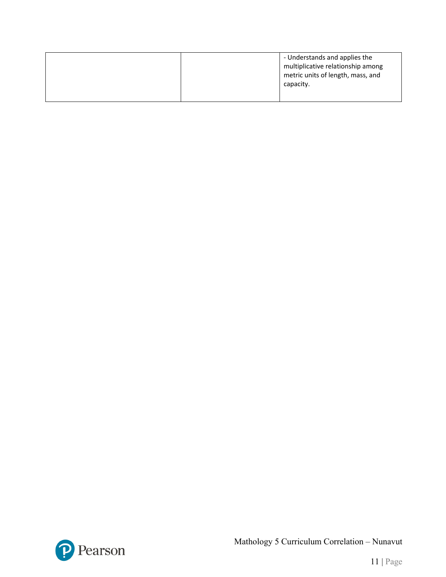|  | - Understands and applies the<br>multiplicative relationship among<br>metric units of length, mass, and<br>capacity. |
|--|----------------------------------------------------------------------------------------------------------------------|
|  |                                                                                                                      |



Mathology 5 Curriculum Correlation – Nunavut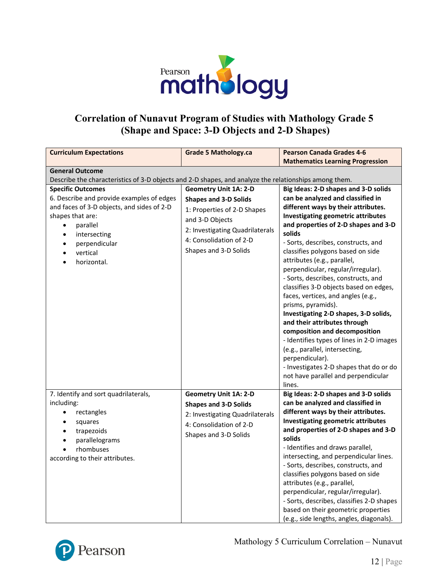

### **Correlation of Nunavut Program of Studies with Mathology Grade 5 (Shape and Space: 3-D Objects and 2-D Shapes)**

| <b>Curriculum Expectations</b>                                                                                                                                                                                                                                      | <b>Grade 5 Mathology.ca</b>                                                                                                                                                                           | <b>Pearson Canada Grades 4-6</b><br><b>Mathematics Learning Progression</b>                                                                                                                                                                                                                                                                                                                                                                                                                                                                                                                                                                                                                                                                                                                                    |
|---------------------------------------------------------------------------------------------------------------------------------------------------------------------------------------------------------------------------------------------------------------------|-------------------------------------------------------------------------------------------------------------------------------------------------------------------------------------------------------|----------------------------------------------------------------------------------------------------------------------------------------------------------------------------------------------------------------------------------------------------------------------------------------------------------------------------------------------------------------------------------------------------------------------------------------------------------------------------------------------------------------------------------------------------------------------------------------------------------------------------------------------------------------------------------------------------------------------------------------------------------------------------------------------------------------|
| <b>General Outcome</b>                                                                                                                                                                                                                                              |                                                                                                                                                                                                       |                                                                                                                                                                                                                                                                                                                                                                                                                                                                                                                                                                                                                                                                                                                                                                                                                |
| Describe the characteristics of 3-D objects and 2-D shapes, and analyze the relationships among them.                                                                                                                                                               |                                                                                                                                                                                                       |                                                                                                                                                                                                                                                                                                                                                                                                                                                                                                                                                                                                                                                                                                                                                                                                                |
| <b>Specific Outcomes</b><br>6. Describe and provide examples of edges<br>and faces of 3-D objects, and sides of 2-D<br>shapes that are:<br>parallel<br>$\bullet$<br>$\bullet$<br>intersecting<br>perpendicular<br>$\bullet$<br>vertical<br>$\bullet$<br>horizontal. | <b>Geometry Unit 1A: 2-D</b><br><b>Shapes and 3-D Solids</b><br>1: Properties of 2-D Shapes<br>and 3-D Objects<br>2: Investigating Quadrilaterals<br>4: Consolidation of 2-D<br>Shapes and 3-D Solids | Big Ideas: 2-D shapes and 3-D solids<br>can be analyzed and classified in<br>different ways by their attributes.<br>Investigating geometric attributes<br>and properties of 2-D shapes and 3-D<br>solids<br>- Sorts, describes, constructs, and<br>classifies polygons based on side<br>attributes (e.g., parallel,<br>perpendicular, regular/irregular).<br>- Sorts, describes, constructs, and<br>classifies 3-D objects based on edges,<br>faces, vertices, and angles (e.g.,<br>prisms, pyramids).<br>Investigating 2-D shapes, 3-D solids,<br>and their attributes through<br>composition and decomposition<br>- Identifies types of lines in 2-D images<br>(e.g., parallel, intersecting,<br>perpendicular).<br>- Investigates 2-D shapes that do or do<br>not have parallel and perpendicular<br>lines. |
| 7. Identify and sort quadrilaterals,<br>including:<br>rectangles<br>$\bullet$<br>squares<br>$\bullet$<br>trapezoids<br>$\bullet$<br>parallelograms<br>$\bullet$<br>rhombuses<br>according to their attributes.                                                      | <b>Geometry Unit 1A: 2-D</b><br><b>Shapes and 3-D Solids</b><br>2: Investigating Quadrilaterals<br>4: Consolidation of 2-D<br>Shapes and 3-D Solids                                                   | Big Ideas: 2-D shapes and 3-D solids<br>can be analyzed and classified in<br>different ways by their attributes.<br><b>Investigating geometric attributes</b><br>and properties of 2-D shapes and 3-D<br>solids<br>- Identifies and draws parallel,<br>intersecting, and perpendicular lines.<br>- Sorts, describes, constructs, and<br>classifies polygons based on side<br>attributes (e.g., parallel,<br>perpendicular, regular/irregular).<br>- Sorts, describes, classifies 2-D shapes<br>based on their geometric properties<br>(e.g., side lengths, angles, diagonals).                                                                                                                                                                                                                                 |



Mathology 5 Curriculum Correlation – Nunavut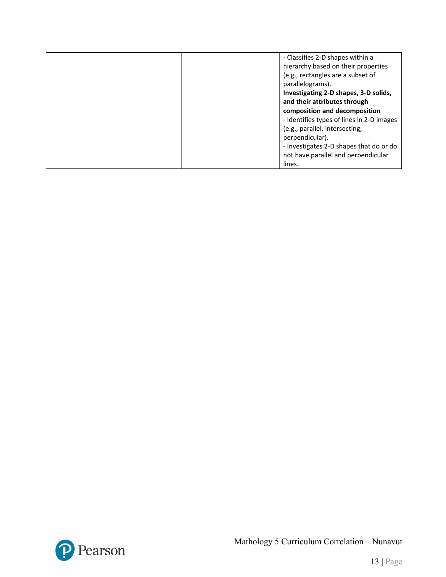| - Classifies 2-D shapes within a          |
|-------------------------------------------|
| hierarchy based on their properties       |
| (e.g., rectangles are a subset of         |
| parallelograms).                          |
| Investigating 2-D shapes, 3-D solids,     |
| and their attributes through              |
| composition and decomposition             |
| - Identifies types of lines in 2-D images |
| (e.g., parallel, intersecting,            |
| perpendicular).                           |
| - Investigates 2-D shapes that do or do   |
| not have parallel and perpendicular       |
| lines.                                    |

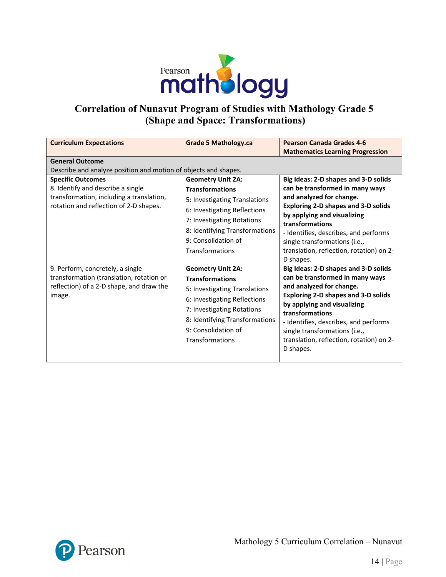

# **Correlation of Nunavut Program of Studies with Mathology Grade 5 (Shape and Space: Transformations)**

| <b>Curriculum Expectations</b>                                                                                                                      | <b>Grade 5 Mathology.ca</b>                                                                                                                                                                                                   | <b>Pearson Canada Grades 4-6</b><br><b>Mathematics Learning Progression</b>                                                                                                                                                                                                                                                            |  |  |
|-----------------------------------------------------------------------------------------------------------------------------------------------------|-------------------------------------------------------------------------------------------------------------------------------------------------------------------------------------------------------------------------------|----------------------------------------------------------------------------------------------------------------------------------------------------------------------------------------------------------------------------------------------------------------------------------------------------------------------------------------|--|--|
| <b>General Outcome</b><br>Describe and analyze position and motion of objects and shapes.                                                           |                                                                                                                                                                                                                               |                                                                                                                                                                                                                                                                                                                                        |  |  |
| <b>Specific Outcomes</b><br>8. Identify and describe a single<br>transformation, including a translation,<br>rotation and reflection of 2-D shapes. | <b>Geometry Unit 2A:</b><br><b>Transformations</b><br>5: Investigating Translations<br>6: Investigating Reflections<br>7: Investigating Rotations<br>8: Identifying Transformations<br>9: Consolidation of<br>Transformations | Big Ideas: 2-D shapes and 3-D solids<br>can be transformed in many ways<br>and analyzed for change.<br><b>Exploring 2-D shapes and 3-D solids</b><br>by applying and visualizing<br>transformations<br>- Identifies, describes, and performs<br>single transformations (i.e.,<br>translation, reflection, rotation) on 2-<br>D shapes. |  |  |
| 9. Perform, concretely, a single<br>transformation (translation, rotation or<br>reflection) of a 2-D shape, and draw the<br>image.                  | <b>Geometry Unit 2A:</b><br><b>Transformations</b><br>5: Investigating Translations<br>6: Investigating Reflections<br>7: Investigating Rotations<br>8: Identifying Transformations<br>9: Consolidation of<br>Transformations | Big Ideas: 2-D shapes and 3-D solids<br>can be transformed in many ways<br>and analyzed for change.<br><b>Exploring 2-D shapes and 3-D solids</b><br>by applying and visualizing<br>transformations<br>- Identifies, describes, and performs<br>single transformations (i.e.,<br>translation, reflection, rotation) on 2-<br>D shapes. |  |  |

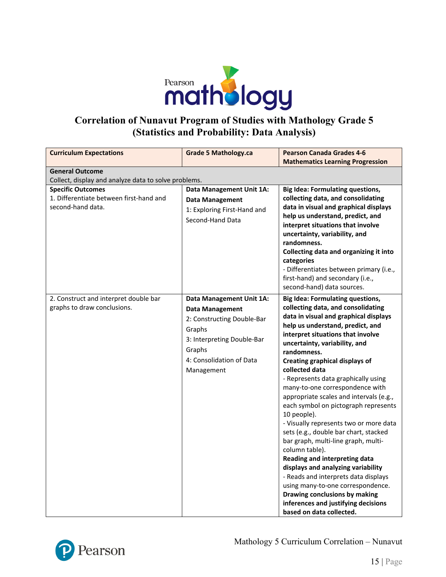

### **Correlation of Nunavut Program of Studies with Mathology Grade 5 (Statistics and Probability: Data Analysis)**

| <b>Curriculum Expectations</b>                                                           | <b>Grade 5 Mathology.ca</b>                                                                                                                                                  | <b>Pearson Canada Grades 4-6</b>                                                                                                                                                                                                                                                                                                                                                                                                                                                                                                                                                                                                                                                                                                                                                                                                                                                           |  |  |
|------------------------------------------------------------------------------------------|------------------------------------------------------------------------------------------------------------------------------------------------------------------------------|--------------------------------------------------------------------------------------------------------------------------------------------------------------------------------------------------------------------------------------------------------------------------------------------------------------------------------------------------------------------------------------------------------------------------------------------------------------------------------------------------------------------------------------------------------------------------------------------------------------------------------------------------------------------------------------------------------------------------------------------------------------------------------------------------------------------------------------------------------------------------------------------|--|--|
|                                                                                          |                                                                                                                                                                              | <b>Mathematics Learning Progression</b>                                                                                                                                                                                                                                                                                                                                                                                                                                                                                                                                                                                                                                                                                                                                                                                                                                                    |  |  |
| <b>General Outcome</b>                                                                   |                                                                                                                                                                              |                                                                                                                                                                                                                                                                                                                                                                                                                                                                                                                                                                                                                                                                                                                                                                                                                                                                                            |  |  |
| Collect, display and analyze data to solve problems.                                     |                                                                                                                                                                              |                                                                                                                                                                                                                                                                                                                                                                                                                                                                                                                                                                                                                                                                                                                                                                                                                                                                                            |  |  |
| <b>Specific Outcomes</b><br>1. Differentiate between first-hand and<br>second-hand data. | Data Management Unit 1A:<br><b>Data Management</b><br>1: Exploring First-Hand and<br>Second-Hand Data                                                                        | <b>Big Idea: Formulating questions,</b><br>collecting data, and consolidating<br>data in visual and graphical displays<br>help us understand, predict, and<br>interpret situations that involve<br>uncertainty, variability, and<br>randomness.<br>Collecting data and organizing it into<br>categories<br>- Differentiates between primary (i.e.,<br>first-hand) and secondary (i.e.,<br>second-hand) data sources.                                                                                                                                                                                                                                                                                                                                                                                                                                                                       |  |  |
| 2. Construct and interpret double bar<br>graphs to draw conclusions.                     | Data Management Unit 1A:<br><b>Data Management</b><br>2: Constructing Double-Bar<br>Graphs<br>3: Interpreting Double-Bar<br>Graphs<br>4: Consolidation of Data<br>Management | <b>Big Idea: Formulating questions,</b><br>collecting data, and consolidating<br>data in visual and graphical displays<br>help us understand, predict, and<br>interpret situations that involve<br>uncertainty, variability, and<br>randomness.<br><b>Creating graphical displays of</b><br>collected data<br>- Represents data graphically using<br>many-to-one correspondence with<br>appropriate scales and intervals (e.g.,<br>each symbol on pictograph represents<br>10 people).<br>- Visually represents two or more data<br>sets (e.g., double bar chart, stacked<br>bar graph, multi-line graph, multi-<br>column table).<br>Reading and interpreting data<br>displays and analyzing variability<br>- Reads and interprets data displays<br>using many-to-one correspondence.<br>Drawing conclusions by making<br>inferences and justifying decisions<br>based on data collected. |  |  |

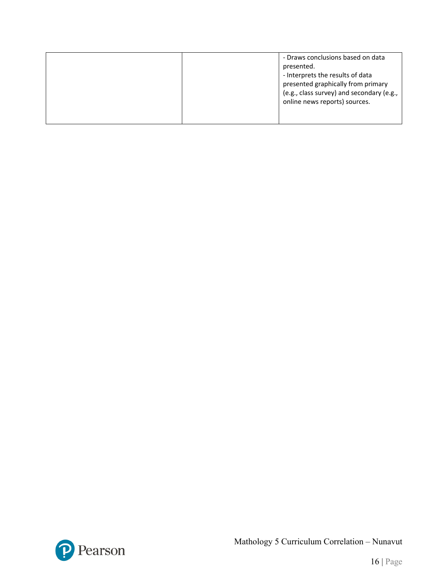|  | presented.<br>- Interprets the results of data<br>presented graphically from primary<br>(e.g., class survey) and secondary (e.g.,<br>online news reports) sources. |
|--|--------------------------------------------------------------------------------------------------------------------------------------------------------------------|
|--|--------------------------------------------------------------------------------------------------------------------------------------------------------------------|